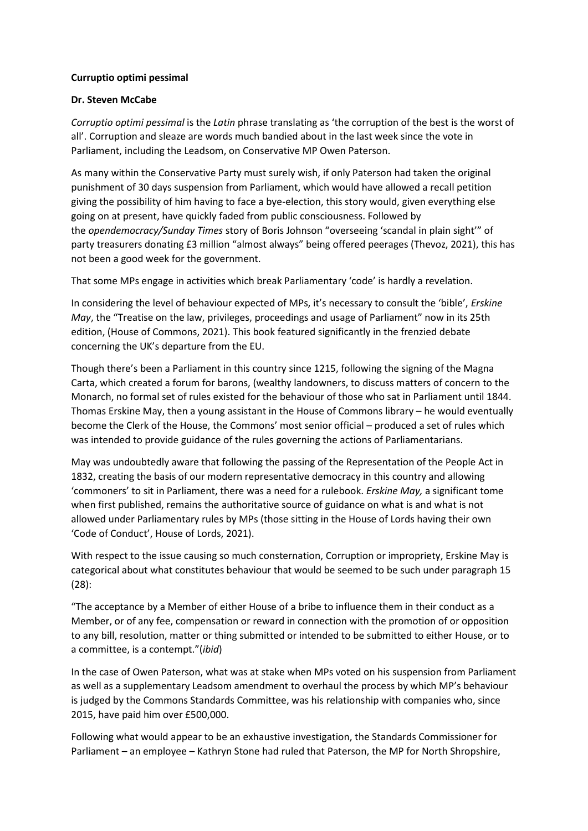## **Curruptio optimi pessimal**

## **Dr. Steven McCabe**

*Corruptio optimi pessimal* is the *Latin* phrase translating as 'the corruption of the best is the worst of all'. Corruption and sleaze are words much bandied about in the last week since the vote in Parliament, including the Leadsom, on Conservative MP Owen Paterson.

As many within the Conservative Party must surely wish, if only Paterson had taken the original punishment of 30 days suspension from Parliament, which would have allowed a recall petition giving the possibility of him having to face a bye-election, this story would, given everything else going on at present, have quickly faded from public consciousness. Followed by the *opendemocracy/Sunday Times* story of Boris Johnson "overseeing 'scandal in plain sight'" of party treasurers donating £3 million "almost always" being offered peerages (Thevoz, 2021), this has not been a good week for the government.

That some MPs engage in activities which break Parliamentary 'code' is hardly a revelation.

In considering the level of behaviour expected of MPs, it's necessary to consult the 'bible', *Erskine May*, the "Treatise on the law, privileges, proceedings and usage of Parliament" now in its 25th edition, (House of Commons, 2021). This book featured significantly in the frenzied debate concerning the UK's departure from the EU.

Though there's been a Parliament in this country since 1215, following the signing of the Magna Carta, which created a forum for barons, (wealthy landowners, to discuss matters of concern to the Monarch, no formal set of rules existed for the behaviour of those who sat in Parliament until 1844. Thomas Erskine May, then a young assistant in the House of Commons library – he would eventually become the Clerk of the House, the Commons' most senior official – produced a set of rules which was intended to provide guidance of the rules governing the actions of Parliamentarians.

May was undoubtedly aware that following the passing of the Representation of the People Act in 1832, creating the basis of our modern representative democracy in this country and allowing 'commoners' to sit in Parliament, there was a need for a rulebook. *Erskine May,* a significant tome when first published, remains the authoritative source of guidance on what is and what is not allowed under Parliamentary rules by MPs (those sitting in the House of Lords having their own 'Code of Conduct', House of Lords, 2021).

With respect to the issue causing so much consternation, Corruption or impropriety, Erskine May is categorical about what constitutes behaviour that would be seemed to be such under paragraph 15 (28):

"The acceptance by a Member of either House of a bribe to influence them in their conduct as a Member, or of any fee, compensation or reward in connection with the promotion of or opposition to any bill, resolution, matter or thing submitted or intended to be submitted to either House, or to a committee, is a contempt."(*ibid*)

In the case of Owen Paterson, what was at stake when MPs voted on his suspension from Parliament as well as a supplementary Leadsom amendment to overhaul the process by which MP's behaviour is judged by the Commons Standards Committee, was his relationship with companies who, since 2015, have paid him over £500,000.

Following what would appear to be an exhaustive investigation, the Standards Commissioner for Parliament – an employee – Kathryn Stone had ruled that Paterson, the MP for North Shropshire,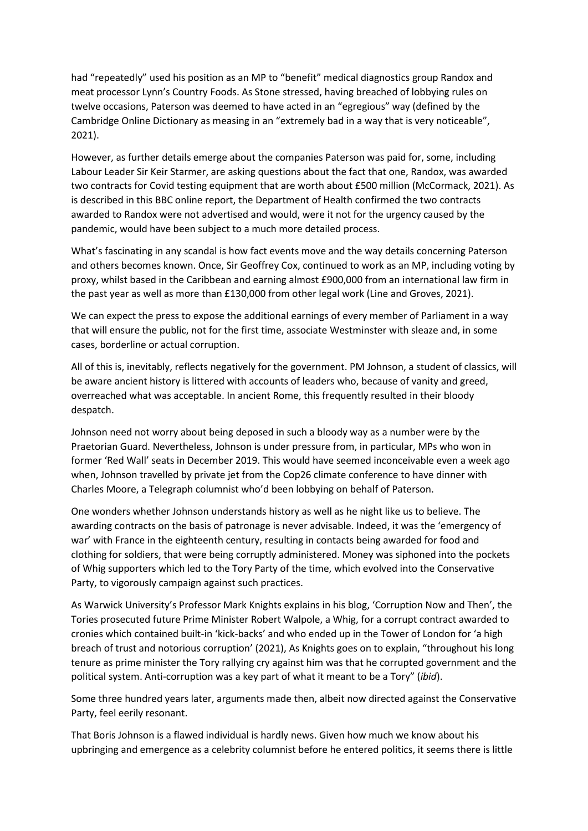had "repeatedly" used his position as an MP to "benefit" medical diagnostics group Randox and meat processor Lynn's Country Foods. As Stone stressed, having breached of lobbying rules on twelve occasions, Paterson was deemed to have acted in an "egregious" way (defined by the Cambridge Online Dictionary as measing in an "extremely bad in a way that is very noticeable", 2021).

However, as further details emerge about the companies Paterson was paid for, some, including Labour Leader Sir Keir Starmer, are asking questions about the fact that one, Randox, was awarded two contracts for Covid testing equipment that are worth about £500 million (McCormack, 2021). As is described in this BBC online report, the Department of Health confirmed the two contracts awarded to Randox were not advertised and would, were it not for the urgency caused by the pandemic, would have been subject to a much more detailed process.

What's fascinating in any scandal is how fact events move and the way details concerning Paterson and others becomes known. Once, Sir Geoffrey Cox, continued to work as an MP, including voting by proxy, whilst based in the Caribbean and earning almost £900,000 from an international law firm in the past year as well as more than £130,000 from other legal work (Line and Groves, 2021).

We can expect the press to expose the additional earnings of every member of Parliament in a way that will ensure the public, not for the first time, associate Westminster with sleaze and, in some cases, borderline or actual corruption.

All of this is, inevitably, reflects negatively for the government. PM Johnson, a student of classics, will be aware ancient history is littered with accounts of leaders who, because of vanity and greed, overreached what was acceptable. In ancient Rome, this frequently resulted in their bloody despatch.

Johnson need not worry about being deposed in such a bloody way as a number were by the Praetorian Guard. Nevertheless, Johnson is under pressure from, in particular, MPs who won in former 'Red Wall' seats in December 2019. This would have seemed inconceivable even a week ago when, Johnson travelled by private jet from the Cop26 climate conference to have dinner with Charles Moore, a Telegraph columnist who'd been lobbying on behalf of Paterson.

One wonders whether Johnson understands history as well as he night like us to believe. The awarding contracts on the basis of patronage is never advisable. Indeed, it was the 'emergency of war' with France in the eighteenth century, resulting in contacts being awarded for food and clothing for soldiers, that were being corruptly administered. Money was siphoned into the pockets of Whig supporters which led to the Tory Party of the time, which evolved into the Conservative Party, to vigorously campaign against such practices.

As Warwick University's Professor Mark Knights explains in his blog, 'Corruption Now and Then', the Tories prosecuted future Prime Minister Robert Walpole, a Whig, for a corrupt contract awarded to cronies which contained built-in 'kick-backs' and who ended up in the Tower of London for 'a high breach of trust and notorious corruption' (2021), As Knights goes on to explain, "throughout his long tenure as prime minister the Tory rallying cry against him was that he corrupted government and the political system. Anti-corruption was a key part of what it meant to be a Tory" (*ibid*).

Some three hundred years later, arguments made then, albeit now directed against the Conservative Party, feel eerily resonant.

That Boris Johnson is a flawed individual is hardly news. Given how much we know about his upbringing and emergence as a celebrity columnist before he entered politics, it seems there is little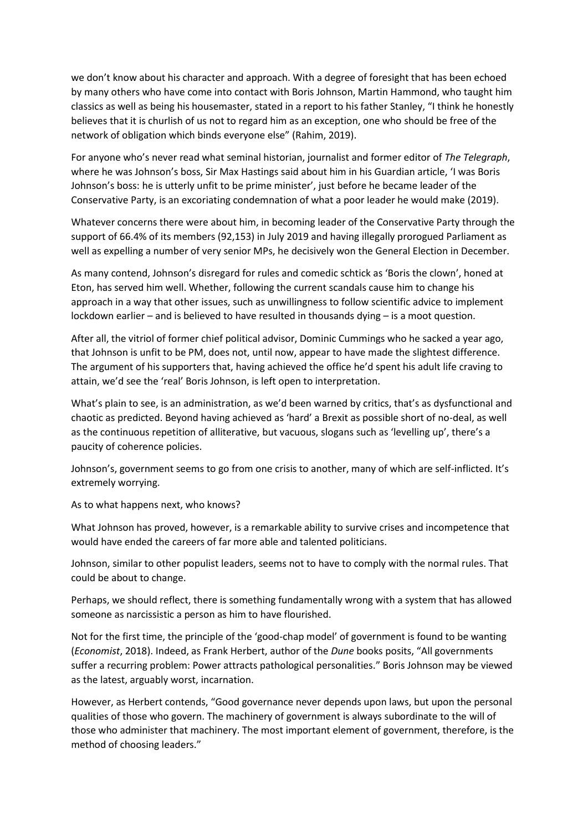we don't know about his character and approach. With a degree of foresight that has been echoed by many others who have come into contact with Boris Johnson, Martin Hammond, who taught him classics as well as being his housemaster, stated in a report to his father Stanley, "I think he honestly believes that it is churlish of us not to regard him as an exception, one who should be free of the network of obligation which binds everyone else" (Rahim, 2019).

For anyone who's never read what seminal historian, journalist and former editor of *The Telegraph*, where he was Johnson's boss, Sir Max Hastings said about him in his Guardian article, 'I was Boris Johnson's boss: he is utterly unfit to be prime minister', just before he became leader of the Conservative Party, is an excoriating condemnation of what a poor leader he would make (2019).

Whatever concerns there were about him, in becoming leader of the Conservative Party through the support of 66.4% of its members (92,153) in July 2019 and having illegally prorogued Parliament as well as expelling a number of very senior MPs, he decisively won the General Election in December.

As many contend, Johnson's disregard for rules and comedic schtick as 'Boris the clown', honed at Eton, has served him well. Whether, following the current scandals cause him to change his approach in a way that other issues, such as unwillingness to follow scientific advice to implement lockdown earlier – and is believed to have resulted in thousands dying – is a moot question.

After all, the vitriol of former chief political advisor, Dominic Cummings who he sacked a year ago, that Johnson is unfit to be PM, does not, until now, appear to have made the slightest difference. The argument of his supporters that, having achieved the office he'd spent his adult life craving to attain, we'd see the 'real' Boris Johnson, is left open to interpretation.

What's plain to see, is an administration, as we'd been warned by critics, that's as dysfunctional and chaotic as predicted. Beyond having achieved as 'hard' a Brexit as possible short of no-deal, as well as the continuous repetition of alliterative, but vacuous, slogans such as 'levelling up', there's a paucity of coherence policies.

Johnson's, government seems to go from one crisis to another, many of which are self-inflicted. It's extremely worrying.

As to what happens next, who knows?

What Johnson has proved, however, is a remarkable ability to survive crises and incompetence that would have ended the careers of far more able and talented politicians.

Johnson, similar to other populist leaders, seems not to have to comply with the normal rules. That could be about to change.

Perhaps, we should reflect, there is something fundamentally wrong with a system that has allowed someone as narcissistic a person as him to have flourished.

Not for the first time, the principle of the 'good-chap model' of government is found to be wanting (*Economist*, 2018). Indeed, as Frank Herbert, author of the *Dune* books posits, "All governments suffer a recurring problem: Power attracts pathological personalities." Boris Johnson may be viewed as the latest, arguably worst, incarnation.

However, as Herbert contends, "Good governance never depends upon laws, but upon the personal qualities of those who govern. The machinery of government is always subordinate to the will of those who administer that machinery. The most important element of government, therefore, is the method of choosing leaders."